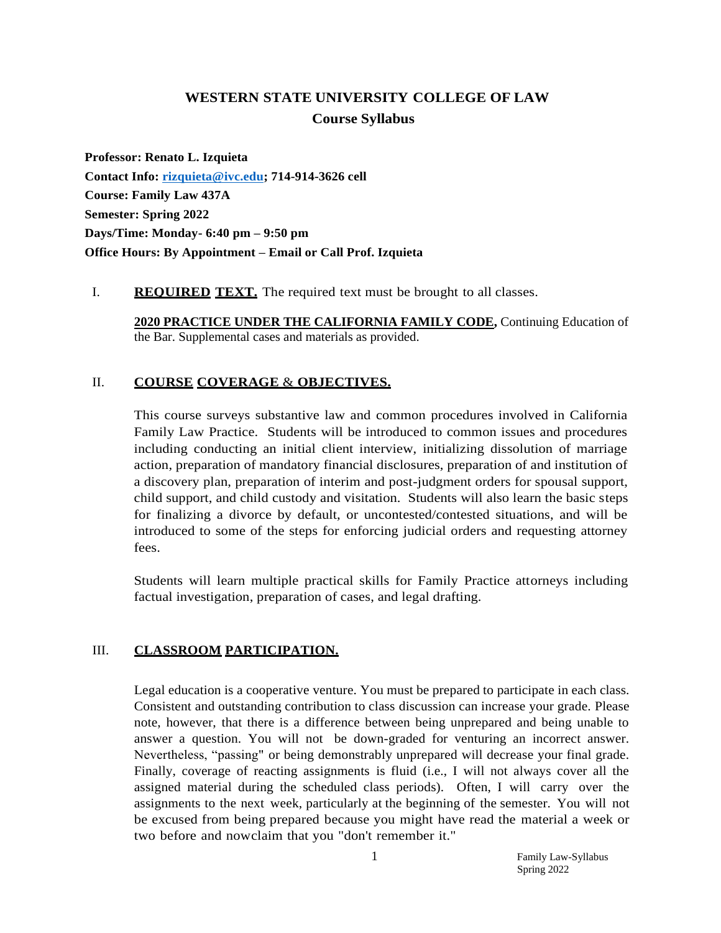# **WESTERN STATE UNIVERSITY COLLEGE OF LAW Course Syllabus**

**Professor: Renato L. Izquieta Contact Info: [rizquieta@ivc.edu;](mailto:rizquieta@ivc.edu) 714-914-3626 cell Course: Family Law 437A Semester: Spring 2022 Days/Time: Monday- 6:40 pm – 9:50 pm Office Hours: By Appointment – Email or Call Prof. Izquieta**

### I. **REQUIRED TEXT.** The required text must be brought to all classes.

**2020 PRACTICE UNDER THE CALIFORNIA FAMILY CODE,** Continuing Education of the Bar. Supplemental cases and materials as provided.

## II. **COURSE COVERAGE** & **OBJECTIVES.**

This course surveys substantive law and common procedures involved in California Family Law Practice. Students will be introduced to common issues and procedures including conducting an initial client interview, initializing dissolution of marriage action, preparation of mandatory financial disclosures, preparation of and institution of a discovery plan, preparation of interim and post-judgment orders for spousal support, child support, and child custody and visitation. Students will also learn the basic steps for finalizing a divorce by default, or uncontested/contested situations, and will be introduced to some of the steps for enforcing judicial orders and requesting attorney fees.

Students will learn multiple practical skills for Family Practice attorneys including factual investigation, preparation of cases, and legal drafting.

## III. **CLASSROOM PARTICIPATION.**

Legal education is a cooperative venture. You must be prepared to participate in each class. Consistent and outstanding contribution to class discussion can increase your grade. Please note, however, that there is a difference between being unprepared and being unable to answer a question. You will not be down-graded for venturing an incorrect answer. Nevertheless, "passing" or being demonstrably unprepared will decrease your final grade. Finally, coverage of reacting assignments is fluid (i.e., I will not always cover all the assigned material during the scheduled class periods). Often, I will carry over the assignments to the next week, particularly at the beginning of the semester. You will not be excused from being prepared because you might have read the material a week or two before and nowclaim that you "don't remember it."

> 1 Family Law-Syllabus Spring 2022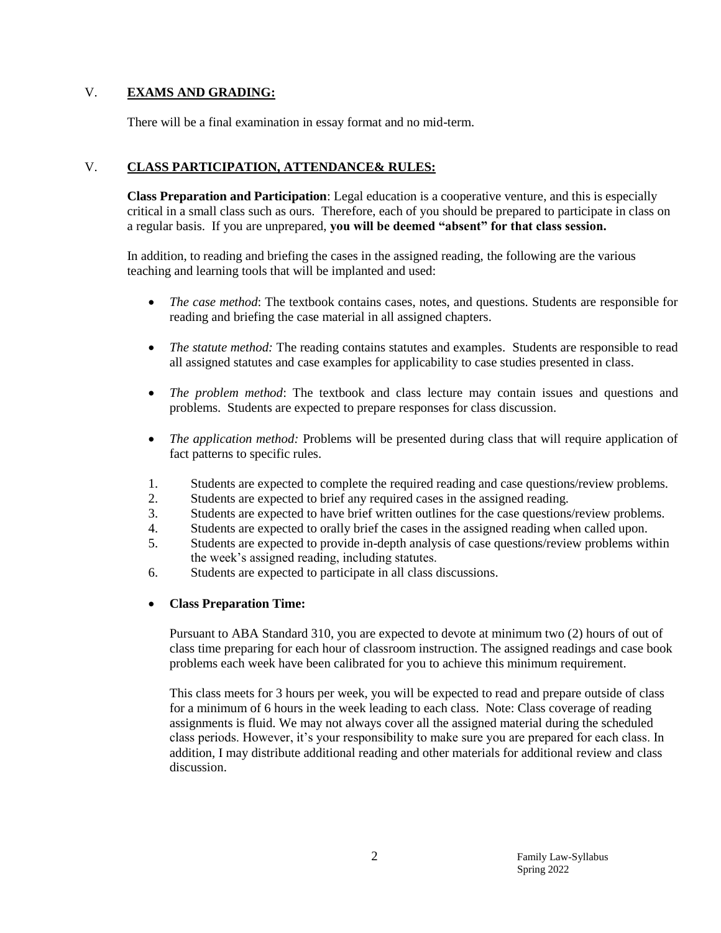## V. **EXAMS AND GRADING:**

There will be a final examination in essay format and no mid-term.

## V. **CLASS PARTICIPATION, ATTENDANCE& RULES:**

**Class Preparation and Participation**: Legal education is a cooperative venture, and this is especially critical in a small class such as ours. Therefore, each of you should be prepared to participate in class on a regular basis. If you are unprepared, **you will be deemed "absent" for that class session.**

In addition, to reading and briefing the cases in the assigned reading, the following are the various teaching and learning tools that will be implanted and used:

- *The case method*: The textbook contains cases, notes, and questions. Students are responsible for reading and briefing the case material in all assigned chapters.
- *The statute method:* The reading contains statutes and examples. Students are responsible to read all assigned statutes and case examples for applicability to case studies presented in class.
- *The problem method*: The textbook and class lecture may contain issues and questions and problems. Students are expected to prepare responses for class discussion.
- *The application method:* Problems will be presented during class that will require application of fact patterns to specific rules.
- 1. Students are expected to complete the required reading and case questions/review problems.
- 2. Students are expected to brief any required cases in the assigned reading.
- 3. Students are expected to have brief written outlines for the case questions/review problems.
- 4. Students are expected to orally brief the cases in the assigned reading when called upon.
- 5. Students are expected to provide in-depth analysis of case questions/review problems within the week's assigned reading, including statutes.
- 6. Students are expected to participate in all class discussions.

#### **Class Preparation Time:**

Pursuant to ABA Standard 310, you are expected to devote at minimum two (2) hours of out of class time preparing for each hour of classroom instruction. The assigned readings and case book problems each week have been calibrated for you to achieve this minimum requirement.

This class meets for 3 hours per week, you will be expected to read and prepare outside of class for a minimum of 6 hours in the week leading to each class. Note: Class coverage of reading assignments is fluid. We may not always cover all the assigned material during the scheduled class periods. However, it's your responsibility to make sure you are prepared for each class. In addition, I may distribute additional reading and other materials for additional review and class discussion.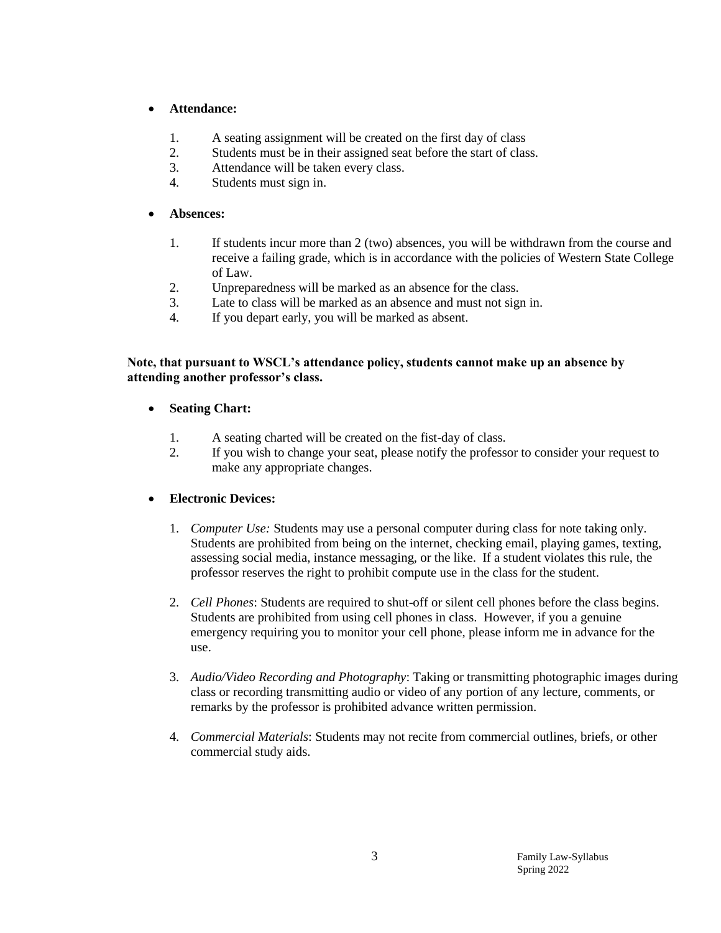## **Attendance:**

- 1. A seating assignment will be created on the first day of class
- 2. Students must be in their assigned seat before the start of class.
- 3. Attendance will be taken every class.
- 4. Students must sign in.

## **Absences:**

- 1. If students incur more than 2 (two) absences, you will be withdrawn from the course and receive a failing grade, which is in accordance with the policies of Western State College of Law.
- 2. Unpreparedness will be marked as an absence for the class.
- 3. Late to class will be marked as an absence and must not sign in.
- 4. If you depart early, you will be marked as absent.

## **Note, that pursuant to WSCL's attendance policy, students cannot make up an absence by attending another professor's class.**

- **Seating Chart:**
	- 1. A seating charted will be created on the fist-day of class.
	- 2. If you wish to change your seat, please notify the professor to consider your request to make any appropriate changes.

## **Electronic Devices:**

- 1. *Computer Use:* Students may use a personal computer during class for note taking only. Students are prohibited from being on the internet, checking email, playing games, texting, assessing social media, instance messaging, or the like. If a student violates this rule, the professor reserves the right to prohibit compute use in the class for the student.
- 2. *Cell Phones*: Students are required to shut-off or silent cell phones before the class begins. Students are prohibited from using cell phones in class. However, if you a genuine emergency requiring you to monitor your cell phone, please inform me in advance for the use.
- 3. *Audio/Video Recording and Photography*: Taking or transmitting photographic images during class or recording transmitting audio or video of any portion of any lecture, comments, or remarks by the professor is prohibited advance written permission.
- 4. *Commercial Materials*: Students may not recite from commercial outlines, briefs, or other commercial study aids.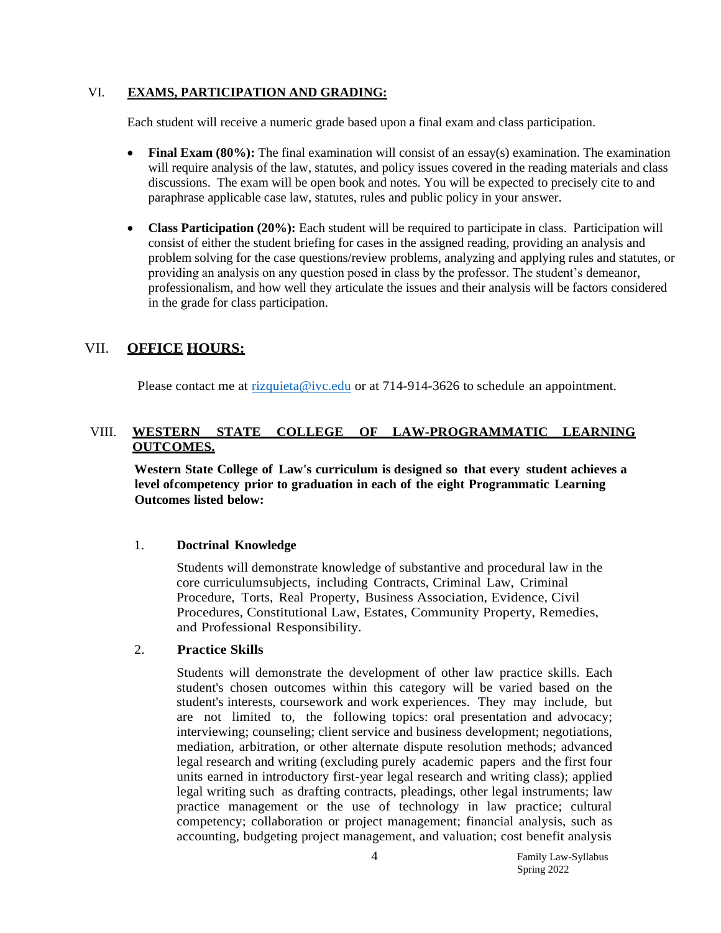#### VI. **EXAMS, PARTICIPATION AND GRADING:**

Each student will receive a numeric grade based upon a final exam and class participation.

- Final Exam (80%): The final examination will consist of an essay(s) examination. The examination will require analysis of the law, statutes, and policy issues covered in the reading materials and class discussions. The exam will be open book and notes. You will be expected to precisely cite to and paraphrase applicable case law, statutes, rules and public policy in your answer.
- **Class Participation (20%):** Each student will be required to participate in class. Participation will consist of either the student briefing for cases in the assigned reading, providing an analysis and problem solving for the case questions/review problems, analyzing and applying rules and statutes, or providing an analysis on any question posed in class by the professor. The student's demeanor, professionalism, and how well they articulate the issues and their analysis will be factors considered in the grade for class participation.

## VII. **OFFICE HOURS:**

Please contact me at  $rizquieta@ivc.edu$  or at 714-914-3626 to schedule an appointment.

## VIII. **WESTERN STATE COLLEGE OF LAW-PROGRAMMATIC LEARNING OUTCOMES.**

**Western State College of Law's curriculum is designed so that every student achieves a level ofcompetency prior to graduation in each of the eight Programmatic Learning Outcomes listed below:**

## 1. **Doctrinal Knowledge**

Students will demonstrate knowledge of substantive and procedural law in the core curriculumsubjects, including Contracts, Criminal Law, Criminal Procedure, Torts, Real Property, Business Association, Evidence, Civil Procedures, Constitutional Law, Estates, Community Property, Remedies, and Professional Responsibility.

#### 2. **Practice Skills**

Students will demonstrate the development of other law practice skills. Each student's chosen outcomes within this category will be varied based on the student's interests, coursework and work experiences. They may include, but are not limited to, the following topics: oral presentation and advocacy; interviewing; counseling; client service and business development; negotiations, mediation, arbitration, or other alternate dispute resolution methods; advanced legal research and writing (excluding purely academic papers and the first four units earned in introductory first-year legal research and writing class); applied legal writing such as drafting contracts, pleadings, other legal instruments; law practice management or the use of technology in law practice; cultural competency; collaboration or project management; financial analysis, such as accounting, budgeting project management, and valuation; cost benefit analysis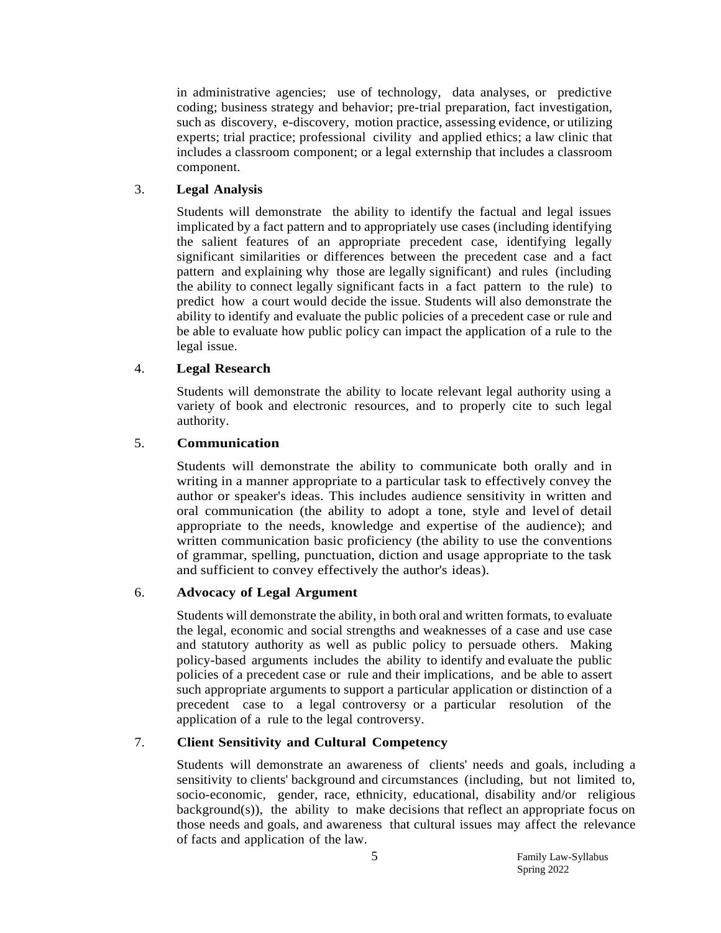in administrative agencies; use of technology, data analyses, or predictive coding; business strategy and behavior; pre-trial preparation, fact investigation, such as discovery, e-discovery, motion practice, assessing evidence, or utilizing experts; trial practice; professional civility and applied ethics; a law clinic that includes a classroom component; or a legal externship that includes a classroom component.

## 3. **Legal Analysis**

Students will demonstrate the ability to identify the factual and legal issues implicated by a fact pattern and to appropriately use cases (including identifying the salient features of an appropriate precedent case, identifying legally significant similarities or differences between the precedent case and a fact pattern and explaining why those are legally significant) and rules (including the ability to connect legally significant facts in a fact pattern to the rule) to predict how a court would decide the issue. Students will also demonstrate the ability to identify and evaluate the public policies of a precedent case or rule and be able to evaluate how public policy can impact the application of a rule to the legal issue.

### 4. **Legal Research**

Students will demonstrate the ability to locate relevant legal authority using a variety of book and electronic resources, and to properly cite to such legal authority.

### 5. **Communication**

Students will demonstrate the ability to communicate both orally and in writing in a manner appropriate to a particular task to effectively convey the author or speaker's ideas. This includes audience sensitivity in written and oral communication (the ability to adopt a tone, style and level of detail appropriate to the needs, knowledge and expertise of the audience); and written communication basic proficiency (the ability to use the conventions of grammar, spelling, punctuation, diction and usage appropriate to the task and sufficient to convey effectively the author's ideas).

## 6. **Advocacy of Legal Argument**

Students will demonstrate the ability, in both oral and written formats, to evaluate the legal, economic and social strengths and weaknesses of a case and use case and statutory authority as well as public policy to persuade others. Making policy-based arguments includes the ability to identify and evaluate the public policies of a precedent case or rule and their implications, and be able to assert such appropriate arguments to support a particular application or distinction of a precedent case to a legal controversy or a particular resolution of the application of a rule to the legal controversy.

#### 7. **Client Sensitivity and Cultural Competency**

Students will demonstrate an awareness of clients' needs and goals, including a sensitivity to clients' background and circumstances (including, but not limited to, socio-economic, gender, race, ethnicity, educational, disability and/or religious background(s)), the ability to make decisions that reflect an appropriate focus on those needs and goals, and awareness that cultural issues may affect the relevance of facts and application of the law.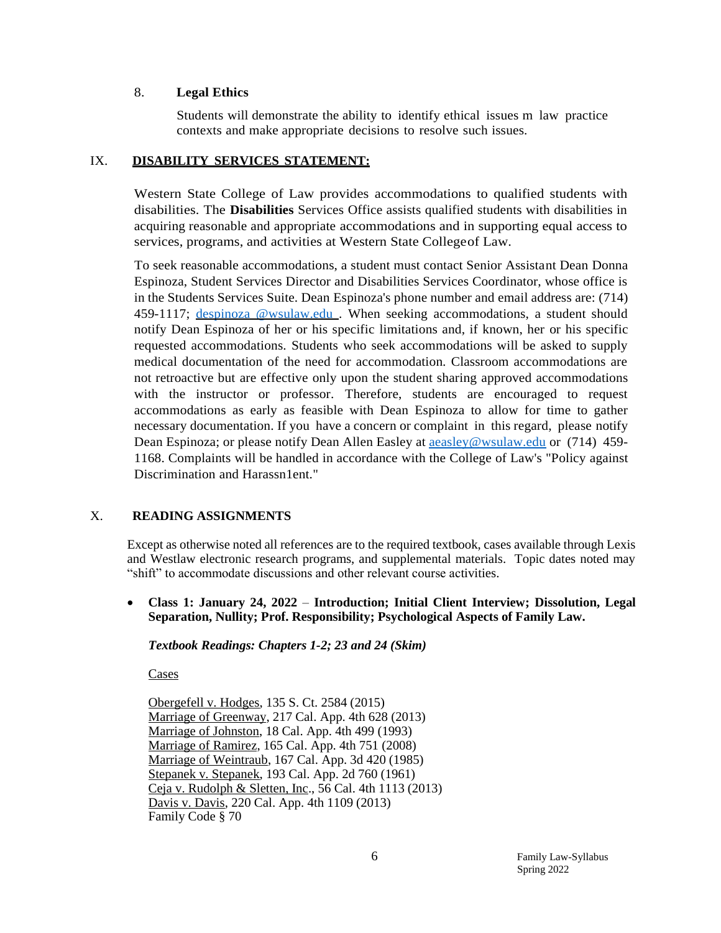#### 8. **Legal Ethics**

Students will demonstrate the ability to identify ethical issues m law practice contexts and make appropriate decisions to resolve such issues.

#### IX. **DISABILITY SERVICES STATEMENT:**

Western State College of Law provides accommodations to qualified students with disabilities. The **Disabilities** Services Office assists qualified students with disabilities in acquiring reasonable and appropriate accommodations and in supporting equal access to services, programs, and activities at Western State Collegeof Law.

To seek reasonable accommodations, a student must contact Senior Assistant Dean Donna Espinoza, Student Services Director and Disabilities Services Coordinator, whose office is in the Students Services Suite. Dean Espinoza's phone number and email address are: (714) 459-1117; [despinoza @wsulaw.edu](mailto:despinoza@wsulaw.edu). When seeking accommodations, a student should notify Dean Espinoza of her or his specific limitations and, if known, her or his specific requested accommodations. Students who seek accommodations will be asked to supply medical documentation of the need for accommodation. Classroom accommodations are not retroactive but are effective only upon the student sharing approved accommodations with the instructor or professor. Therefore, students are encouraged to request accommodations as early as feasible with Dean Espinoza to allow for time to gather necessary documentation. If you have a concern or complaint in this regard, please notify Dean Espinoza; or please notify Dean Allen Easley at [aeasley@wsulaw.edu](mailto:aeasley@wsulaw.edu) or (714) 459- 1168. Complaints will be handled in accordance with the College of Law's "Policy against Discrimination and Harassn1ent."

#### X. **READING ASSIGNMENTS**

Except as otherwise noted all references are to the required textbook, cases available through Lexis and Westlaw electronic research programs, and supplemental materials. Topic dates noted may "shift" to accommodate discussions and other relevant course activities.

 **Class 1: January 24, 2022** – **Introduction; Initial Client Interview; Dissolution, Legal Separation, Nullity; Prof. Responsibility; Psychological Aspects of Family Law.**

#### *Textbook Readings: Chapters 1-2; 23 and 24 (Skim)*

Cases

Obergefell v. Hodges, 135 S. Ct. 2584 (2015) Marriage of Greenway, 217 Cal. App. 4th 628 (2013) Marriage of Johnston, 18 Cal. App. 4th 499 (1993) Marriage of Ramirez, 165 Cal. App. 4th 751 (2008) Marriage of Weintraub, 167 Cal. App. 3d 420 (1985) Stepanek v. Stepanek, 193 Cal. App. 2d 760 (1961) Ceja v. Rudolph & Sletten, Inc., 56 Cal. 4th 1113 (2013) Davis v. Davis, 220 Cal. App. 4th 1109 (2013) Family Code § 70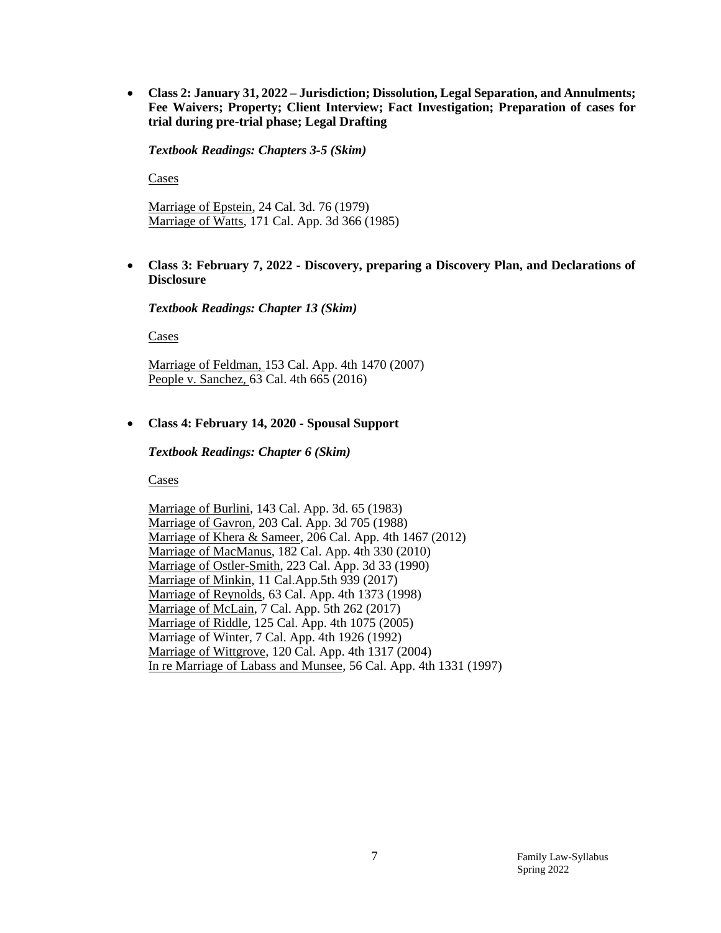**Class 2: January 31, 2022 – Jurisdiction; Dissolution, Legal Separation, and Annulments; Fee Waivers; Property; Client Interview; Fact Investigation; Preparation of cases for trial during pre-trial phase; Legal Drafting**

*Textbook Readings: Chapters 3-5 (Skim)*

Cases

Marriage of Epstein, 24 Cal. 3d. 76 (1979) Marriage of Watts, 171 Cal. App. 3d 366 (1985)

 **Class 3: February 7, 2022 - Discovery, preparing a Discovery Plan, and Declarations of Disclosure**

*Textbook Readings: Chapter 13 (Skim)*

Cases

Marriage of Feldman, 153 Cal. App. 4th 1470 (2007) People v. Sanchez, 63 Cal. 4th 665 (2016)

#### **Class 4: February 14, 2020 - Spousal Support**

*Textbook Readings: Chapter 6 (Skim)*

Cases

Marriage of Burlini, 143 Cal. App. 3d. 65 (1983) Marriage of Gavron, 203 Cal. App. 3d 705 (1988) Marriage of Khera & Sameer, 206 Cal. App. 4th 1467 (2012) Marriage of MacManus, 182 Cal. App. 4th 330 (2010) Marriage of Ostler-Smith, 223 Cal. App. 3d 33 (1990) Marriage of Minkin, 11 Cal.App.5th 939 (2017) Marriage of Reynolds, 63 Cal. App. 4th 1373 (1998) Marriage of McLain, 7 Cal. App. 5th 262 (2017) Marriage of Riddle, 125 Cal. App. 4th 1075 (2005) Marriage of Winter, 7 Cal. App. 4th 1926 (1992) Marriage of Wittgrove, 120 Cal. App. 4th 1317 (2004) In re Marriage of Labass and Munsee, 56 Cal. App. 4th 1331 (1997)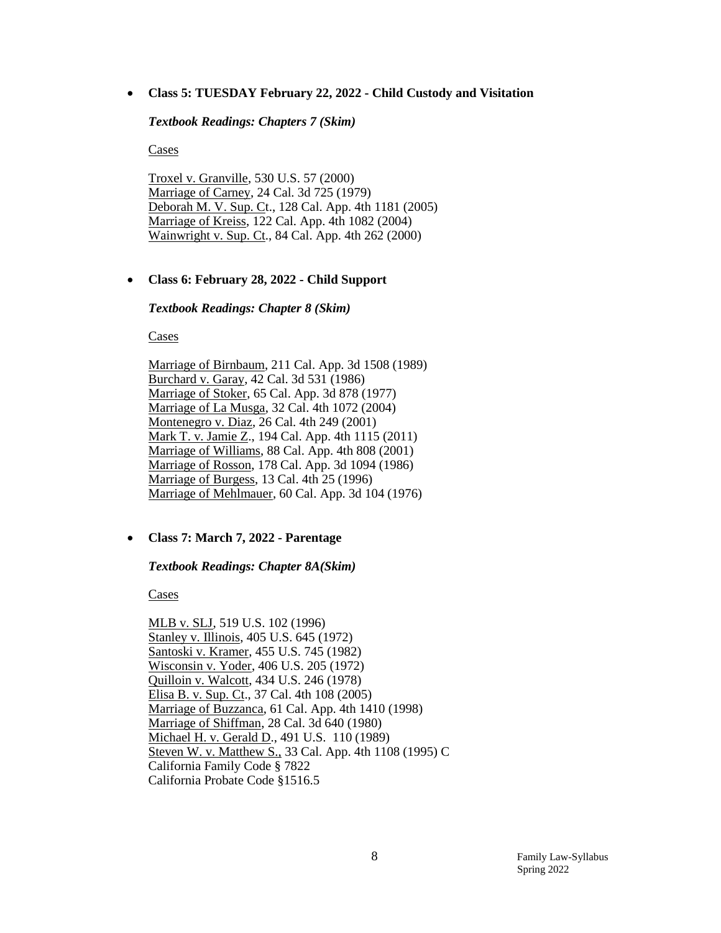**Class 5: TUESDAY February 22, 2022 - Child Custody and Visitation** 

*Textbook Readings: Chapters 7 (Skim)*

Cases

Troxel v. Granville, 530 U.S. 57 (2000) Marriage of Carney, 24 Cal. 3d 725 (1979) Deborah M. V. Sup. Ct., 128 Cal. App. 4th 1181 (2005) Marriage of Kreiss, 122 Cal. App. 4th 1082 (2004) Wainwright v. Sup. Ct., 84 Cal. App. 4th 262 (2000)

#### **Class 6: February 28, 2022 - Child Support**

*Textbook Readings: Chapter 8 (Skim)*

Cases

Marriage of Birnbaum, 211 Cal. App. 3d 1508 (1989) Burchard v. Garay, 42 Cal. 3d 531 (1986) Marriage of Stoker, 65 Cal. App. 3d 878 (1977) Marriage of La Musga, 32 Cal. 4th 1072 (2004) Montenegro v. Diaz, 26 Cal. 4th 249 (2001) Mark T. v. Jamie Z., 194 Cal. App. 4th 1115 (2011) Marriage of Williams, 88 Cal. App. 4th 808 (2001) Marriage of Rosson, 178 Cal. App. 3d 1094 (1986) Marriage of Burgess, 13 Cal. 4th 25 (1996) Marriage of Mehlmauer, 60 Cal. App. 3d 104 (1976)

#### **Class 7: March 7, 2022 - Parentage**

#### *Textbook Readings: Chapter 8A(Skim)*

Cases

MLB v. SLJ, 519 U.S. 102 (1996) Stanley v. Illinois, 405 U.S. 645 (1972) Santoski v. Kramer, 455 U.S. 745 (1982) Wisconsin v. Yoder, 406 U.S. 205 (1972) Quilloin v. Walcott, 434 U.S. 246 (1978) Elisa B. v. Sup. Ct., 37 Cal. 4th 108 (2005) Marriage of Buzzanca, 61 Cal. App. 4th 1410 (1998) Marriage of Shiffman, 28 Cal. 3d 640 (1980) Michael H. v. Gerald D., 491 U.S. 110 (1989) Steven W. v. Matthew S., 33 Cal. App. 4th 1108 (1995) C California Family Code § 7822 California Probate Code §1516.5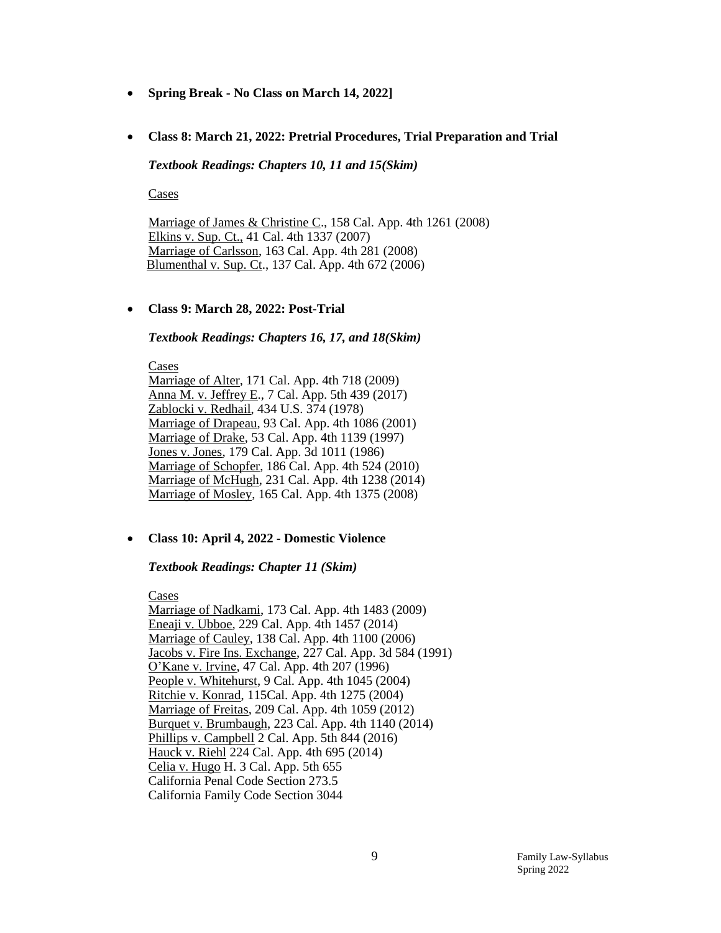- **Spring Break - No Class on March 14, 2022]**
- **Class 8: March 21, 2022: Pretrial Procedures, Trial Preparation and Trial**

*Textbook Readings: Chapters 10, 11 and 15(Skim)*

Cases

Marriage of James & Christine C., 158 Cal. App. 4th 1261 (2008) Elkins v. Sup. Ct., 41 Cal. 4th 1337 (2007) Marriage of Carlsson, 163 Cal. App. 4th 281 (2008) Blumenthal v. Sup. Ct., 137 Cal. App. 4th 672 (2006)

#### **Class 9: March 28, 2022: Post-Trial**

#### *Textbook Readings: Chapters 16, 17, and 18(Skim)*

Cases Marriage of Alter, 171 Cal. App. 4th 718 (2009) Anna M. v. Jeffrey E., 7 Cal. App. 5th 439 (2017) Zablocki v. Redhail, 434 U.S. 374 (1978) Marriage of Drapeau, 93 Cal. App. 4th 1086 (2001) Marriage of Drake, 53 Cal. App. 4th 1139 (1997) Jones v. Jones, 179 Cal. App. 3d 1011 (1986) Marriage of Schopfer, 186 Cal. App. 4th 524 (2010) Marriage of McHugh, 231 Cal. App. 4th 1238 (2014) Marriage of Mosley, 165 Cal. App. 4th 1375 (2008)

#### **Class 10: April 4, 2022 - Domestic Violence**

#### *Textbook Readings: Chapter 11 (Skim)*

Cases

Marriage of Nadkami, 173 Cal. App. 4th 1483 (2009) Eneaji v. Ubboe, 229 Cal. App. 4th 1457 (2014) Marriage of Cauley, 138 Cal. App. 4th 1100 (2006) Jacobs v. Fire Ins. Exchange, 227 Cal. App. 3d 584 (1991) O'Kane v. Irvine, 47 Cal. App. 4th 207 (1996) People v. Whitehurst, 9 Cal. App. 4th 1045 (2004) Ritchie v. Konrad, 115Cal. App. 4th 1275 (2004) Marriage of Freitas, 209 Cal. App. 4th 1059 (2012) Burquet v. Brumbaugh, 223 Cal. App. 4th 1140 (2014) Phillips v. Campbell 2 Cal. App. 5th 844 (2016) Hauck v. Riehl 224 Cal. App. 4th 695 (2014) Celia v. Hugo H. 3 Cal. App. 5th 655 California Penal Code Section 273.5 California Family Code Section 3044